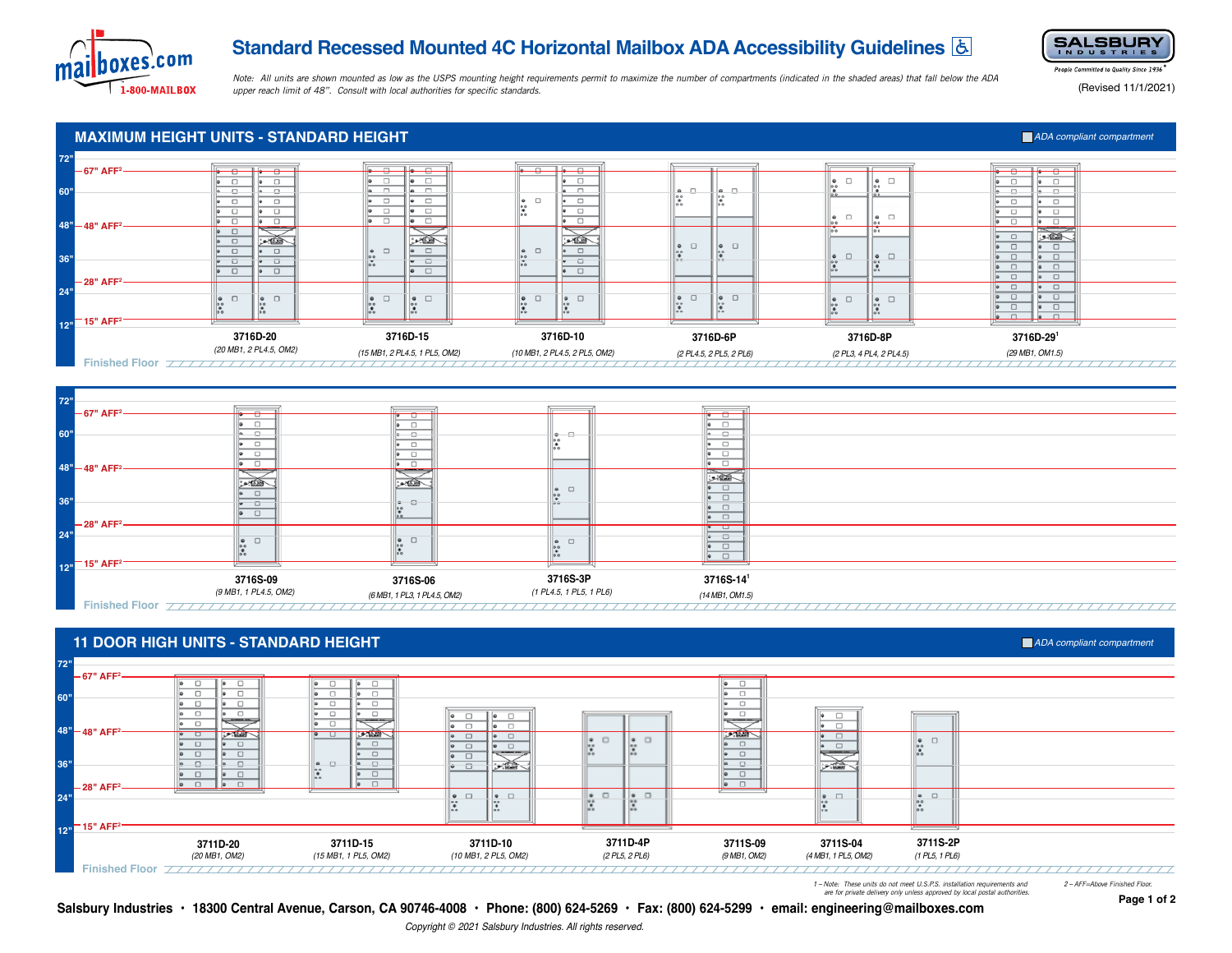

# **Standard Recessed Mounted 4C Horizontal Mailbox ADA Accessibility Guidelines**



*Note: All units are shown mounted as low as the USPS mounting height requirements permit to maximize the number of compartments (indicated in the shaded areas) that fall below the ADA upper reach limit of 48". Consult with local authorities for specific standards.*

People Committed to Quality Since 1936

(Revised 11/1/2021)

**Page 1 of 2**

### **MAXIMUM HEIGHT UNITS - STANDARD HEIGHT** *ADA compliant compartment* **72" 67" AFF2**  $\Box$  $\bullet$   $\Box$  $\Box$  $\begin{array}{|c|c|}\n\bullet & \square \\
\bullet & \end{array}$  $\begin{array}{|c|} \circ \\ \circ \\ \circ \end{array}$ 1  $\Box$  $\overline{\phantom{0}}$  $\begin{array}{c|c} \multicolumn{3}{c|}{\bullet} & \multicolumn{3}{c|}{\bullet} \\ \multicolumn{3}{c|}{\bullet} & \multicolumn{3}{c|}{\bullet} \\ \multicolumn{3}{c|}{\bullet} & \multicolumn{3}{c|}{\bullet} \\ \multicolumn{3}{c|}{\bullet} & \multicolumn{3}{c|}{\bullet} \\ \multicolumn{3}{c|}{\bullet} & \multicolumn{3}{c|}{\bullet} \\ \multicolumn{3}{c|}{\bullet} & \multicolumn{3}{c|}{\bullet} \\ \multicolumn{3}{c|}{\bullet} & \multicolumn{3}{c|}{\bullet} \\ \multicolumn{3}{c|}{\bullet} & \$  $\frac{1}{2}$ **.** 0  $\Box$  $\overline{\phantom{0}}$  $\Box$  $\Box$ **60"** la  $\begin{matrix} \bullet \\ \bullet \\ \bullet \\ \bullet \\ \bullet \end{matrix}$  $\overline{\bullet}$  $\overline{\bullet}$   $\overline{\Box}$  $\overline{\bullet}$   $\Box$ ╔  $\overline{\phantom{a}}$  $\overline{\bullet}$   $\Box$  $\overline{\bullet}$   $\overline{\Box}$  $\sqrt{\frac{1}{\pi}}$  $\overline{\phantom{a}}$  $\overline{\phantom{a}}$ E  $\Box$ |∍  $\overline{\phantom{a}}$  $\cdot$   $\circ$  $\Box$ ā  $\frac{1}{20}$  $\overline{\phantom{a}}$  $\overline{\phantom{a}}$ ᢛ  $\Box$ ⋤  $\overline{\phantom{a}}$ **48" 48" AFF**  $\begin{array}{|c|c|c|}\hline \bullet & \Box \\ \hline \bullet & \Box \\\hline \end{array}$  $\frac{1}{2}$  $\begin{tabular}{|c|c|} \hline \circ & \Box \\ \hline \circ & \Box \end{tabular}$ 一番人 ڪيمن کھیں  $\begin{matrix} \bullet & \square \\ \bullet \circ & \square \end{matrix}$  $\begin{array}{|c|c|c|}\n\hline\n\bullet & \Box \\
\hline\n\bullet & & \\\hline\n\bullet & & \\\hline\n\end{array}$  $\Box$  $\overline{\bullet}$  0  $\begin{array}{|c|c|}\hline \bullet & \square \\ \hline \bullet & \square \\ \hline \bullet & \square \\\hline \end{array}$  $\hfill \square$  $\Box$  $\overline{\bullet}$   $\Box$  $\Box$  $rac{6}{100}$  $\begin{array}{|c|c|c|}\n\hline\n\bullet & \Box \\
\hline\n\bullet & \bullet \\
\hline\n\bullet & \bullet\n\end{array}$  $\begin{array}{c} \bullet \\ \bullet \\ \bullet \end{array}$  $\bullet$   $\Box$ ᢛ  $\Box$ **36"**  $\begin{array}{|c|c|c|}\hline \bullet & \Box & \\ \hline \bullet & \Box & \\\hline \end{array}$ - 8 • □ - 8 16  $\Box$  $\bullet$   $\Box$  $\overline{a}$  $\Box$  $\overline{\bullet}$   $\Box$  $\overline{\bullet}$   $\Box$ **28" AFF**  $\begin{tabular}{|c|c|c|} \hline \circ & \circ \\ \hline \circ & \circ \\ \hline \end{tabular}$  $\bullet$   $\Box$ **24"**  $\begin{matrix} \bullet\quad \quad \square\\ \bullet\quad \quad \square\\ \bullet\quad \quad \end{matrix}$  $\begin{array}{|c|c|}\hline \bullet & \Box \\ \bullet & \bullet \\ \bullet & \bullet \end{array}$  $\begin{array}{|c|c|c|}\hline \bullet & \square \\ \bullet & \\ \bullet & \\ \bullet & \\ \bullet \end{array}$  $\begin{matrix} 0 & \square \\ 0 & \square \end{matrix}$  $\begin{array}{|c|c|c|}\n\hline\n\bullet & \square \\
\bullet & & \\
\bullet & & \\
\hline\n\end{array}$  $\begin{array}{|c|c|}\hline \bullet & \square \\ \bullet & \\ \bullet \end{array}$  $\overline{\bullet}$   $\Box$  $\Box$  $\bullet$   $\Box$  $\begin{array}{|c|c|}\n\bullet & \square \\
\bullet & \circ \\
\bullet & \end{array}$  $\begin{array}{|c|c|}\hline \bullet & \square \\ \hline \bullet & \square \\\hline \bullet & \square \\\hline \end{array}$  $\begin{matrix} 0 \\ 0 \\ 0 \\ 0 \\ 0 \end{matrix}$  $\bullet$  $\bullet$   $\Box$  $\Box$ **15" AFF2 12" 3716D-20**<br>(20 MB1, 2 PL4.5, OM2) **3716D-15 3716D-10 3716D-6P 3716D-8P 3716D-29<sup>1</sup>** *(20 MB1, 2 PL4.5, OM2) (15 MB1, 2 PL4.5, 1 PL5, OM2) (10 MB1, 2 PL4.5, 2 PL5, OM2) (29 MB1, OM1.5) (2 PL4.5, 2 PL5, 2 PL6) (2 PL3, 4 PL4, 2 PL4.5)*

**Finished Floor**





**11 DOOR HIGH UNITS - STANDARD HEIGHT ADA COMPUTER IN CONSTRUCTION THE STANDARD HEIGHT ADA Compliant compartment** 

 *are for private delivery only unless approved by local postal authorities.*

**Salsbury Industries • 18300 Central Avenue, Carson, CA 90746-4008 • Phone: (800) 624-5269 • Fax: (800) 624-5299 • email: engineering@mailboxes.com**